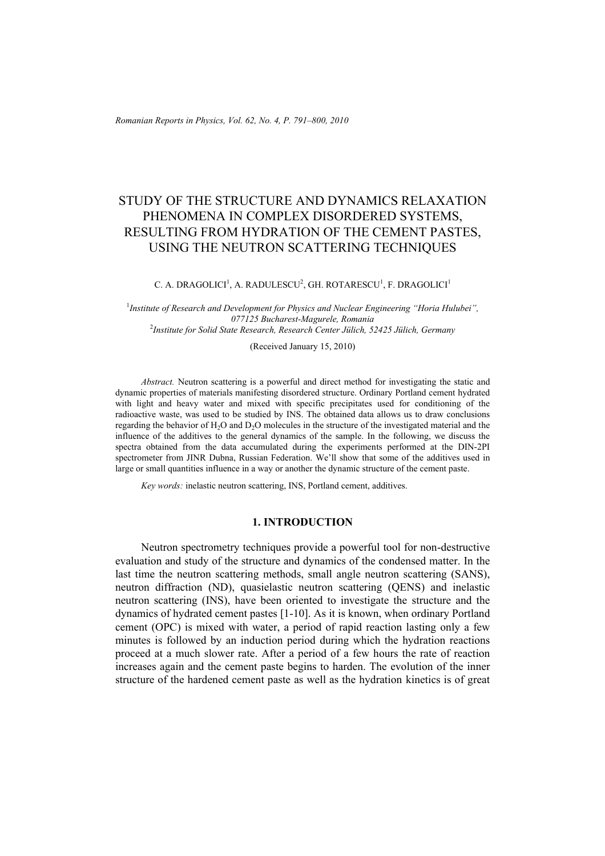# STUDY OF THE STRUCTURE AND DYNAMICS RELAXATION PHENOMENA IN COMPLEX DISORDERED SYSTEMS, RESULTING FROM HYDRATION OF THE CEMENT PASTES, USING THE NEUTRON SCATTERING TECHNIQUES

### C. A. DRAGOLICI $^1$ , A. RADULESCU $^2$ , GH. ROTARESCU $^1$ , F. DRAGOLICI $^1$

<sup>1</sup> Institute of Research and Development for Physics and Nuclear Engineering "Horia Hulubei", *077125 Bucharest-Magurele, Romania* 2 *Institute for Solid State Research, Research Center Jülich, 52425 Jülich, Germany* 

(Received January 15, 2010)

*Abstract.* Neutron scattering is a powerful and direct method for investigating the static and dynamic properties of materials manifesting disordered structure. Ordinary Portland cement hydrated with light and heavy water and mixed with specific precipitates used for conditioning of the radioactive waste, was used to be studied by INS. The obtained data allows us to draw conclusions regarding the behavior of H<sub>2</sub>O and D<sub>2</sub>O molecules in the structure of the investigated material and the influence of the additives to the general dynamics of the sample. In the following, we discuss the spectra obtained from the data accumulated during the experiments performed at the DIN-2PI spectrometer from JINR Dubna, Russian Federation. We'll show that some of the additives used in large or small quantities influence in a way or another the dynamic structure of the cement paste.

*Key words:* inelastic neutron scattering, INS, Portland cement, additives.

### **1. INTRODUCTION**

Neutron spectrometry techniques provide a powerful tool for non-destructive evaluation and study of the structure and dynamics of the condensed matter. In the last time the neutron scattering methods, small angle neutron scattering (SANS), neutron diffraction (ND), quasielastic neutron scattering (QENS) and inelastic neutron scattering (INS), have been oriented to investigate the structure and the dynamics of hydrated cement pastes [1-10]. As it is known, when ordinary Portland cement (OPC) is mixed with water, a period of rapid reaction lasting only a few minutes is followed by an induction period during which the hydration reactions proceed at a much slower rate. After a period of a few hours the rate of reaction increases again and the cement paste begins to harden. The evolution of the inner structure of the hardened cement paste as well as the hydration kinetics is of great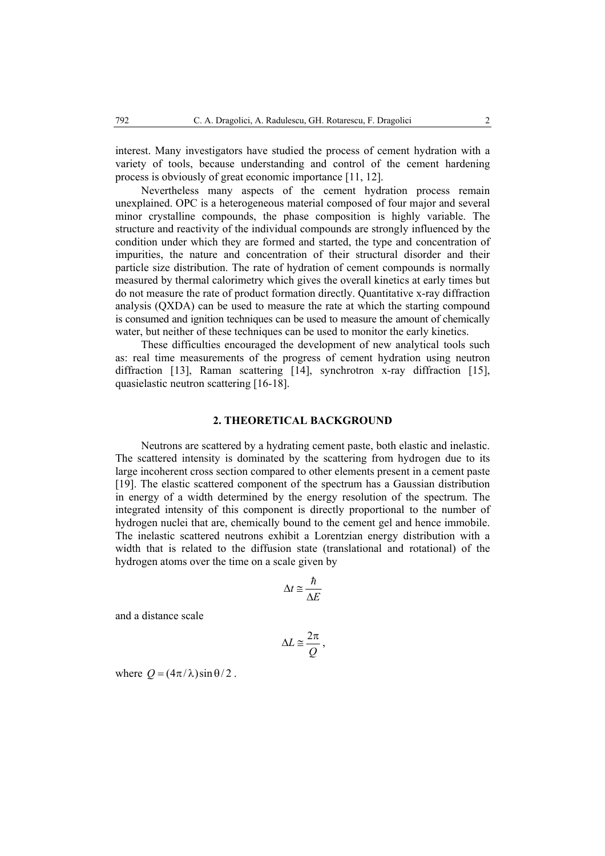interest. Many investigators have studied the process of cement hydration with a variety of tools, because understanding and control of the cement hardening process is obviously of great economic importance [11, 12].

Nevertheless many aspects of the cement hydration process remain unexplained. OPC is a heterogeneous material composed of four major and several minor crystalline compounds, the phase composition is highly variable. The structure and reactivity of the individual compounds are strongly influenced by the condition under which they are formed and started, the type and concentration of impurities, the nature and concentration of their structural disorder and their particle size distribution. The rate of hydration of cement compounds is normally measured by thermal calorimetry which gives the overall kinetics at early times but do not measure the rate of product formation directly. Quantitative x-ray diffraction analysis (QXDA) can be used to measure the rate at which the starting compound is consumed and ignition techniques can be used to measure the amount of chemically water, but neither of these techniques can be used to monitor the early kinetics.

These difficulties encouraged the development of new analytical tools such as: real time measurements of the progress of cement hydration using neutron diffraction [13], Raman scattering [14], synchrotron x-ray diffraction [15], quasielastic neutron scattering [16-18].

# **2. THEORETICAL BACKGROUND**

Neutrons are scattered by a hydrating cement paste, both elastic and inelastic. The scattered intensity is dominated by the scattering from hydrogen due to its large incoherent cross section compared to other elements present in a cement paste [19]. The elastic scattered component of the spectrum has a Gaussian distribution in energy of a width determined by the energy resolution of the spectrum. The integrated intensity of this component is directly proportional to the number of hydrogen nuclei that are, chemically bound to the cement gel and hence immobile. The inelastic scattered neutrons exhibit a Lorentzian energy distribution with a width that is related to the diffusion state (translational and rotational) of the hydrogen atoms over the time on a scale given by

$$
\Delta t \cong \frac{\hbar}{\Delta E}
$$

and a distance scale

$$
\Delta L \cong \frac{2\pi}{Q} \,,
$$

where  $Q = (4\pi/\lambda) \sin \theta / 2$ .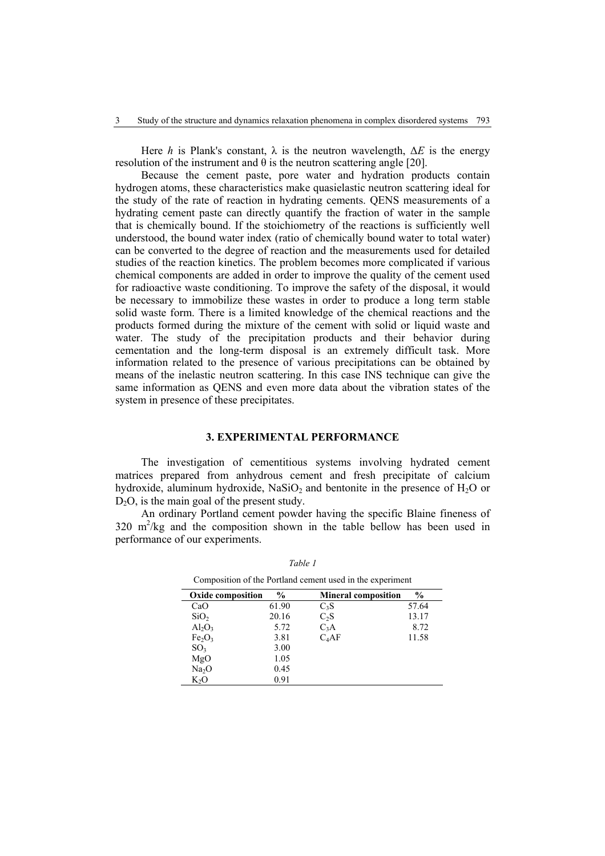Here *h* is Plank's constant,  $\lambda$  is the neutron wavelength,  $\Delta E$  is the energy resolution of the instrument and  $\theta$  is the neutron scattering angle [20].

Because the cement paste, pore water and hydration products contain hydrogen atoms, these characteristics make quasielastic neutron scattering ideal for the study of the rate of reaction in hydrating cements. QENS measurements of a hydrating cement paste can directly quantify the fraction of water in the sample that is chemically bound. If the stoichiometry of the reactions is sufficiently well understood, the bound water index (ratio of chemically bound water to total water) can be converted to the degree of reaction and the measurements used for detailed studies of the reaction kinetics. The problem becomes more complicated if various chemical components are added in order to improve the quality of the cement used for radioactive waste conditioning. To improve the safety of the disposal, it would be necessary to immobilize these wastes in order to produce a long term stable solid waste form. There is a limited knowledge of the chemical reactions and the products formed during the mixture of the cement with solid or liquid waste and water. The study of the precipitation products and their behavior during cementation and the long-term disposal is an extremely difficult task. More information related to the presence of various precipitations can be obtained by means of the inelastic neutron scattering. In this case INS technique can give the same information as QENS and even more data about the vibration states of the system in presence of these precipitates.

## **3. EXPERIMENTAL PERFORMANCE**

The investigation of cementitious systems involving hydrated cement matrices prepared from anhydrous cement and fresh precipitate of calcium hydroxide, aluminum hydroxide, NaSiO<sub>2</sub> and bentonite in the presence of  $H_2O$  or  $D_2O$ , is the main goal of the present study.

An ordinary Portland cement powder having the specific Blaine fineness of 320 m2 /kg and the composition shown in the table bellow has been used in performance of our experiments.

| <b>Oxide composition</b>       | $\frac{0}{0}$ | <b>Mineral composition</b> | $\frac{6}{9}$ |  |
|--------------------------------|---------------|----------------------------|---------------|--|
| CaO                            | 61.90         | $C_3S$                     | 57.64         |  |
| SiO <sub>2</sub>               | 20.16         | $C_2S$                     | 13.17         |  |
| $Al_2O_3$                      | 5.72          | $C_3A$                     | 8.72          |  |
| Fe <sub>2</sub> O <sub>3</sub> | 3.81          | $C_4AF$                    | 11.58         |  |
| SO <sub>3</sub>                | 3.00          |                            |               |  |
| MgO                            | 1.05          |                            |               |  |
| Na <sub>2</sub> O              | 0.45          |                            |               |  |
| $K_2O$                         | 0.91          |                            |               |  |

*Table 1* 

Composition of the Portland cement used in the experiment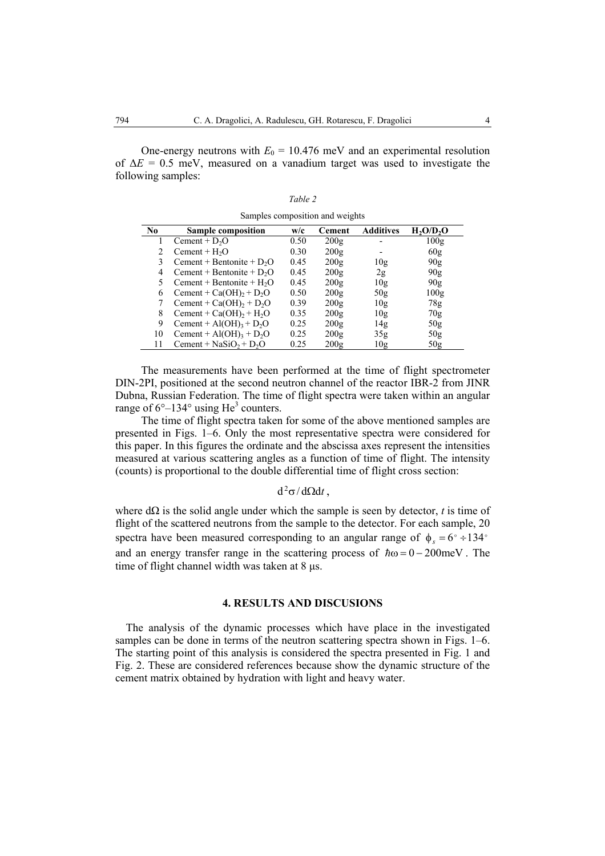One-energy neutrons with  $E_0 = 10.476$  meV and an experimental resolution of ∆*E* = 0.5 meV, measured on a vanadium target was used to investigate the following samples:

*Table 2*  Samples composition and weights

| N <sub>0</sub> | Sample composition                              | w/c  | Cement | <b>Additives</b> | H <sub>2</sub> O/D <sub>2</sub> O |
|----------------|-------------------------------------------------|------|--------|------------------|-----------------------------------|
|                | Cement + $D2O$                                  | 0.50 | 200g   |                  | 100g                              |
|                | Cement + $H2O$                                  | 0.30 | 200g   |                  | 60 <sub>g</sub>                   |
| 3              | Cement + Bentonite + $D_2O$                     | 0.45 | 200g   | 10g              | 90 <sub>g</sub>                   |
| 4              | Cement + Bentonite + $D_2O$                     | 0.45 | 200g   | 2g               | 90 <sub>g</sub>                   |
|                | Cement + Bentonite + $H_2O$                     | 0.45 | 200g   | 10g              | 90 <sub>g</sub>                   |
| 6              | Cement + $Ca(OH)_{2}$ + $D_{2}O$                | 0.50 | 200g   | 50g              | 100g                              |
|                | Cement + $Ca(OH)$ <sub>2</sub> + $D_2O$         | 0.39 | 200g   | 10g              | 78g                               |
| 8              | Cement + $Ca(OH)_{2}$ + $H_{2}O$                | 0.35 | 200g   | 10g              | 70g                               |
| 9              | Cement + Al(OH) <sub>3</sub> + D <sub>2</sub> O | 0.25 | 200g   | 14g              | 50 <sub>g</sub>                   |
| 10             | Cement + Al(OH) <sub>3</sub> + D <sub>2</sub> O | 0.25 | 200g   | 35 <sub>g</sub>  | 50 <sub>g</sub>                   |
| 11             | Cement + $NaSiO_2 + D_2O$                       | 0.25 | 200g   | 10g              | 50 <sub>g</sub>                   |

The measurements have been performed at the time of flight spectrometer DIN-2PI, positioned at the second neutron channel of the reactor IBR-2 from JINR Dubna, Russian Federation. The time of flight spectra were taken within an angular range of  $6^{\circ}$ –134 $^{\circ}$  using He<sup>3</sup> counters.

The time of flight spectra taken for some of the above mentioned samples are presented in Figs. 1–6. Only the most representative spectra were considered for this paper. In this figures the ordinate and the abscissa axes represent the intensities measured at various scattering angles as a function of time of flight. The intensity (counts) is proportional to the double differential time of flight cross section:

# $d^2\sigma/d\Omega dt$ ,

where  $d\Omega$  is the solid angle under which the sample is seen by detector, *t* is time of flight of the scattered neutrons from the sample to the detector. For each sample, 20 spectra have been measured corresponding to an angular range of  $\phi_s = 6^\circ \div 134^\circ$ and an energy transfer range in the scattering process of  $\hbar \omega = 0 - 200$  meV. The time of flight channel width was taken at 8 µs.

#### **4. RESULTS AND DISCUSIONS**

The analysis of the dynamic processes which have place in the investigated samples can be done in terms of the neutron scattering spectra shown in Figs. 1–6. The starting point of this analysis is considered the spectra presented in Fig. 1 and Fig. 2. These are considered references because show the dynamic structure of the cement matrix obtained by hydration with light and heavy water.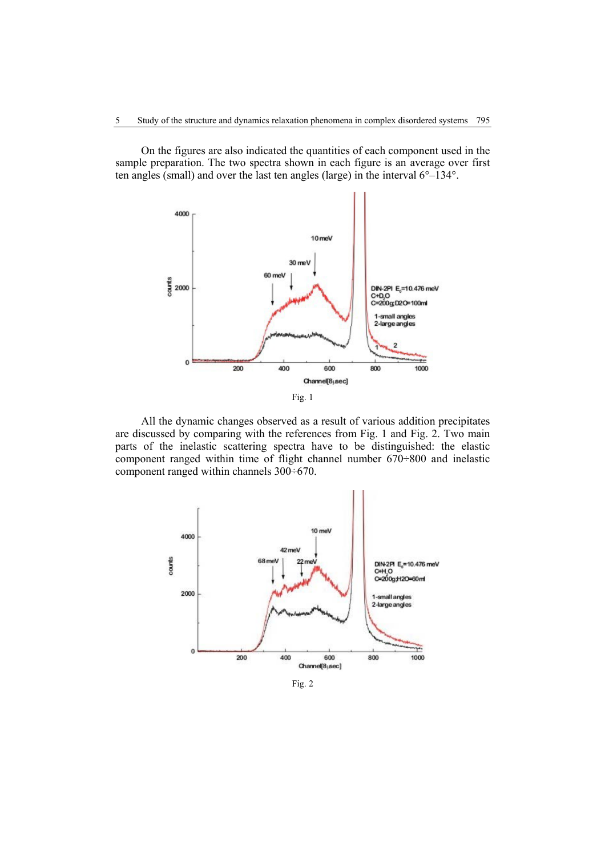On the figures are also indicated the quantities of each component used in the sample preparation. The two spectra shown in each figure is an average over first ten angles (small) and over the last ten angles (large) in the interval 6°–134°.



All the dynamic changes observed as a result of various addition precipitates are discussed by comparing with the references from Fig. 1 and Fig. 2. Two main parts of the inelastic scattering spectra have to be distinguished: the elastic component ranged within time of flight channel number 670÷800 and inelastic component ranged within channels 300÷670.



Fig. 2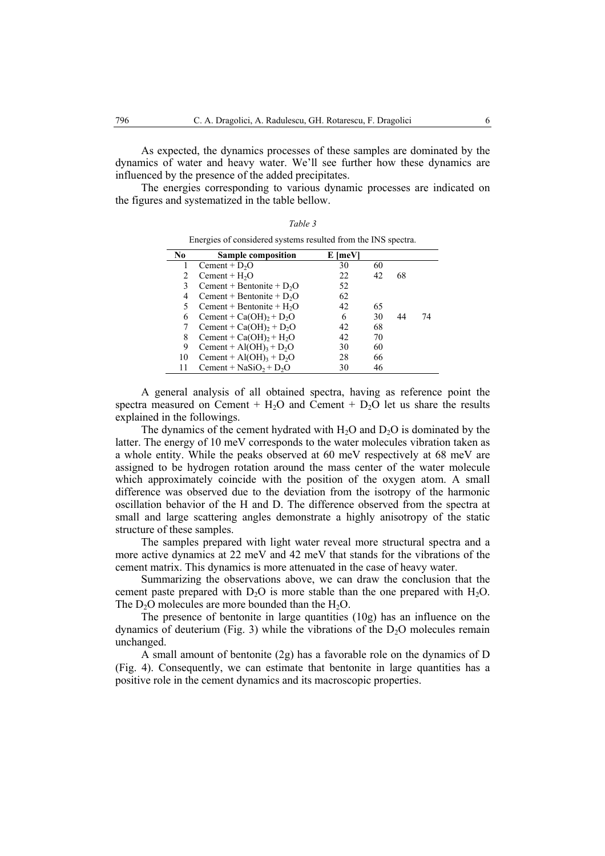As expected, the dynamics processes of these samples are dominated by the dynamics of water and heavy water. We'll see further how these dynamics are influenced by the presence of the added precipitates.

The energies corresponding to various dynamic processes are indicated on the figures and systematized in the table bellow.

*Table 3* 

| Energies of considered systems resulted from the INS spectra. |                                                 |         |    |    |    |  |  |  |
|---------------------------------------------------------------|-------------------------------------------------|---------|----|----|----|--|--|--|
| No                                                            | Sample composition                              | E [meV] |    |    |    |  |  |  |
|                                                               | Cement + $D2O$                                  | 30      | 60 |    |    |  |  |  |
|                                                               | $Cement + H2O$                                  | 22      | 42 | 68 |    |  |  |  |
| 3                                                             | Cement + Bentonite + $D_2O$                     | 52      |    |    |    |  |  |  |
| 4                                                             | Cement + Bentonite + $D_2O$                     | 62      |    |    |    |  |  |  |
| 5                                                             | Cement + Bentonite + $H_2O$                     | 42      | 65 |    |    |  |  |  |
| 6                                                             | Cement + $Ca(OH)_{2}$ + $D_{2}O$                | 6       | 30 | 44 | 74 |  |  |  |
|                                                               | Cement + $Ca(OH)_{2}$ + $D_{2}O$                | 42      | 68 |    |    |  |  |  |
| 8                                                             | Cement + $Ca(OH)2 + H2O$                        | 42      | 70 |    |    |  |  |  |
| 9                                                             | Cement + $Al(OH)_3 + D_2O$                      | 30      | 60 |    |    |  |  |  |
| 10                                                            | Cement + Al(OH) <sub>3</sub> + D <sub>2</sub> O | 28      | 66 |    |    |  |  |  |
| 11                                                            | Cement + $NaSiO2 + D2O$                         | 30      | 46 |    |    |  |  |  |

A general analysis of all obtained spectra, having as reference point the spectra measured on Cement +  $H<sub>2</sub>O$  and Cement +  $D<sub>2</sub>O$  let us share the results explained in the followings.

The dynamics of the cement hydrated with  $H_2O$  and  $D_2O$  is dominated by the latter. The energy of 10 meV corresponds to the water molecules vibration taken as a whole entity. While the peaks observed at 60 meV respectively at 68 meV are assigned to be hydrogen rotation around the mass center of the water molecule which approximately coincide with the position of the oxygen atom. A small difference was observed due to the deviation from the isotropy of the harmonic oscillation behavior of the H and D. The difference observed from the spectra at small and large scattering angles demonstrate a highly anisotropy of the static structure of these samples.

The samples prepared with light water reveal more structural spectra and a more active dynamics at 22 meV and 42 meV that stands for the vibrations of the cement matrix. This dynamics is more attenuated in the case of heavy water.

Summarizing the observations above, we can draw the conclusion that the cement paste prepared with  $D_2O$  is more stable than the one prepared with  $H_2O$ . The  $D_2O$  molecules are more bounded than the  $H_2O$ .

The presence of bentonite in large quantities (10g) has an influence on the dynamics of deuterium (Fig. 3) while the vibrations of the  $D<sub>2</sub>O$  molecules remain unchanged.

A small amount of bentonite (2g) has a favorable role on the dynamics of D (Fig. 4). Consequently, we can estimate that bentonite in large quantities has a positive role in the cement dynamics and its macroscopic properties.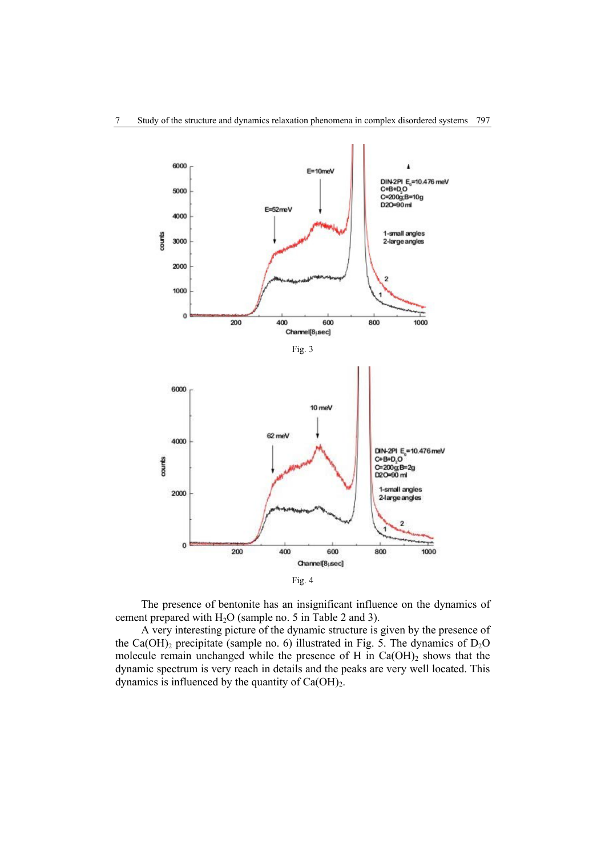

The presence of bentonite has an insignificant influence on the dynamics of cement prepared with  $H_2O$  (sample no. 5 in Table 2 and 3).

A very interesting picture of the dynamic structure is given by the presence of the Ca(OH)<sub>2</sub> precipitate (sample no. 6) illustrated in Fig. 5. The dynamics of  $D_2O$ molecule remain unchanged while the presence of H in  $Ca(OH)_2$  shows that the dynamic spectrum is very reach in details and the peaks are very well located. This dynamics is influenced by the quantity of  $Ca(OH)_2$ .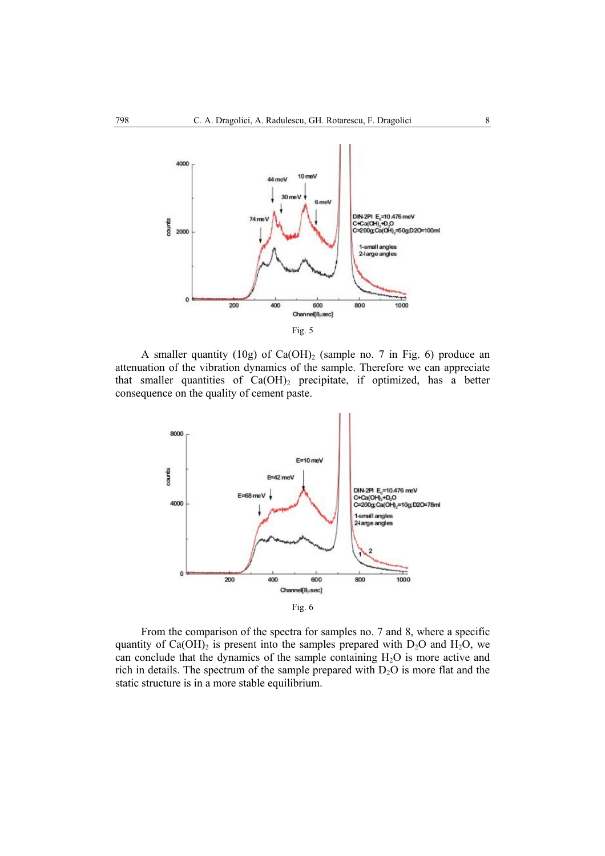

A smaller quantity (10g) of  $Ca(OH)_2$  (sample no. 7 in Fig. 6) produce an attenuation of the vibration dynamics of the sample. Therefore we can appreciate that smaller quantities of  $Ca(OH)_2$  precipitate, if optimized, has a better consequence on the quality of cement paste.



From the comparison of the spectra for samples no. 7 and 8, where a specific quantity of  $Ca(OH)$ <sub>2</sub> is present into the samples prepared with D<sub>2</sub>O and H<sub>2</sub>O, we can conclude that the dynamics of the sample containing  $H_2O$  is more active and rich in details. The spectrum of the sample prepared with  $D_2O$  is more flat and the static structure is in a more stable equilibrium.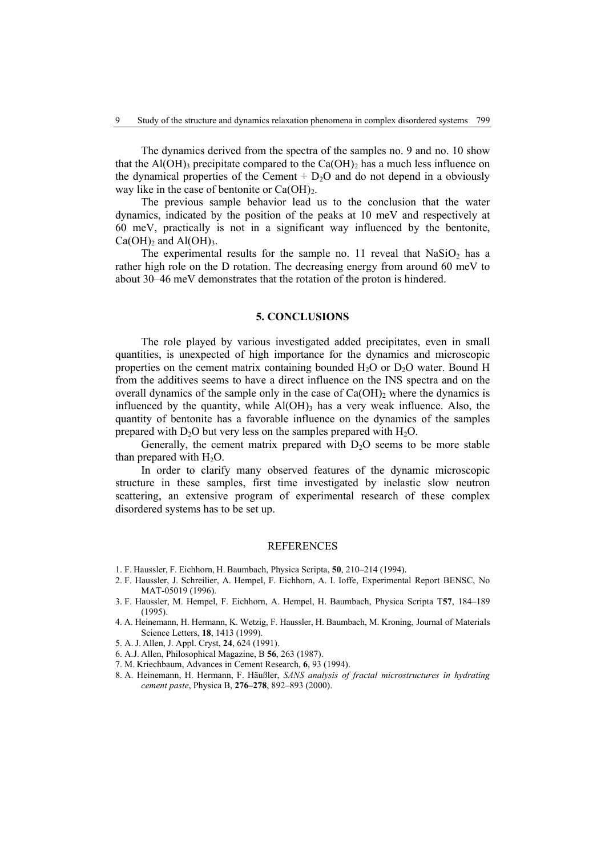The dynamics derived from the spectra of the samples no. 9 and no. 10 show that the Al(OH)<sub>3</sub> precipitate compared to the Ca(OH)<sub>2</sub> has a much less influence on the dynamical properties of the Cement  $+$  D<sub>2</sub>O and do not depend in a obviously way like in the case of bentonite or  $Ca(OH)_2$ .

The previous sample behavior lead us to the conclusion that the water dynamics, indicated by the position of the peaks at 10 meV and respectively at 60 meV, practically is not in a significant way influenced by the bentonite,  $Ca(OH)_2$  and  $Al(OH)_3$ .

The experimental results for the sample no. 11 reveal that  $NaSiO<sub>2</sub>$  has a rather high role on the D rotation. The decreasing energy from around 60 meV to about 30–46 meV demonstrates that the rotation of the proton is hindered.

#### **5. CONCLUSIONS**

The role played by various investigated added precipitates, even in small quantities, is unexpected of high importance for the dynamics and microscopic properties on the cement matrix containing bounded  $H_2O$  or  $D_2O$  water. Bound H from the additives seems to have a direct influence on the INS spectra and on the overall dynamics of the sample only in the case of  $Ca(OH)_2$  where the dynamics is influenced by the quantity, while  $Al(OH)$ <sub>3</sub> has a very weak influence. Also, the quantity of bentonite has a favorable influence on the dynamics of the samples prepared with  $D_2O$  but very less on the samples prepared with  $H_2O$ .

Generally, the cement matrix prepared with  $D_2O$  seems to be more stable than prepared with  $H_2O$ .

In order to clarify many observed features of the dynamic microscopic structure in these samples, first time investigated by inelastic slow neutron scattering, an extensive program of experimental research of these complex disordered systems has to be set up.

## **REFERENCES**

- 1. F. Haussler, F. Eichhorn, H. Baumbach, Physica Scripta, **50**, 210–214 (1994).
- 2. F. Haussler, J. Schreilier, A. Hempel, F. Eichhorn, A. I. Ioffe, Experimental Report BENSC, No MAT-05019 (1996).
- 3. F. Haussler, M. Hempel, F. Eichhorn, A. Hempel, H. Baumbach, Physica Scripta T**57**, 184–189 (1995).
- 4. A. Heinemann, H. Hermann, K. Wetzig, F. Haussler, H. Baumbach, M. Kroning, Journal of Materials Science Letters, **18**, 1413 (1999).
- 5. A. J. Allen, J. Appl. Cryst, **24**, 624 (1991).
- 6. A.J. Allen, Philosophical Magazine, B **56**, 263 (1987).
- 7. M. Kriechbaum, Advances in Cement Research, **6**, 93 (1994).
- 8. A. Heinemann, H. Hermann, F. Häußler, *SANS analysis of fractal microstructures in hydrating cement paste*, Physica B, **276–278**, 892–893 (2000).